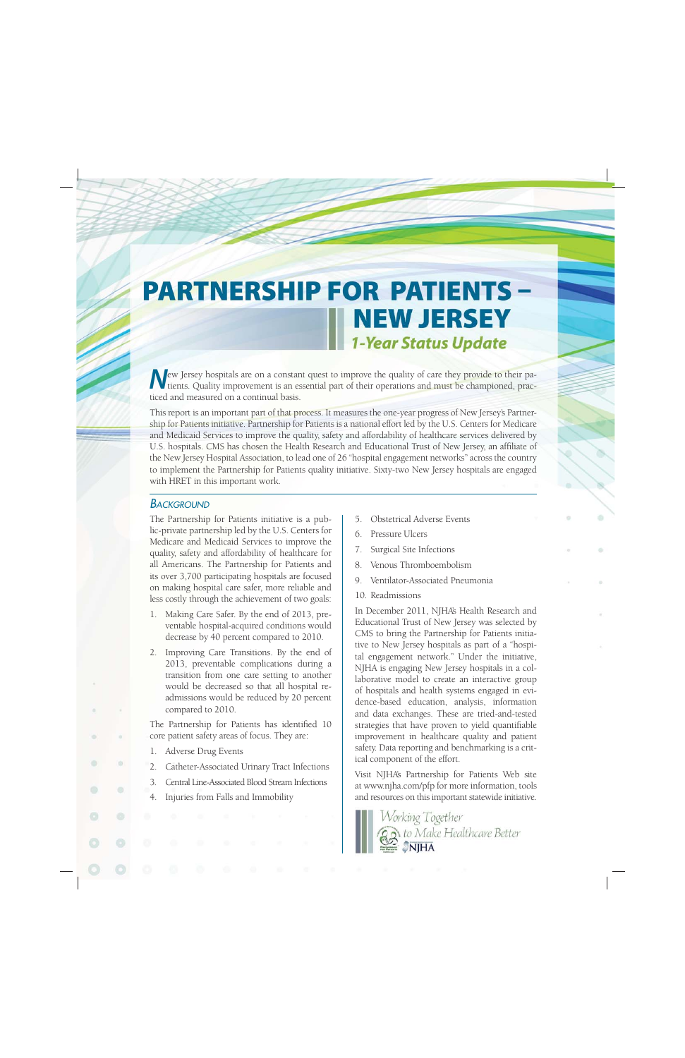# **PARTNERSHIP FOR PATIENTS-NEW JERSEY 1-Year Status Update**

New Jersey hospitals are on a constant quest to improve the quality of care they provide to their patients. Quality improvement is an essential part of their operations and must be championed, practiced and measured on a continual basis.

This report is an important part of that process. It measures the one-year progress of New Jersey's Partnership for Patients initiative. Partnership for Patients is a national effort led by the U.S. Centers for Medicare and Medicaid Services to improve the quality, safety and affordability of healthcare services delivered by U.S. hospitals. CMS has chosen the Health Research and Educational Trust of New Jersey, an affiliate of the New Jersey Hospital Association, to lead one of 26 "hospital engagement networks" across the country to implement the Partnership for Patients quality initiative. Sixty-two New Jersey hospitals are engaged with HRET in this important work.

#### **BACKGROUND**

The Partnership for Patients initiative is a public-private partnership led by the U.S. Centers for Medicare and Medicaid Services to improve the quality, safety and affordability of healthcare for all Americans. The Partnership for Patients and its over 3,700 participating hospitals are focused on making hospital care safer, more reliable and less costly through the achievement of two goals:

- 1. Making Care Safer. By the end of 2013, preventable hospital-acquired conditions would decrease by 40 percent compared to 2010.
- 2. Improving Care Transitions. By the end of 2013, preventable complications during a transition from one care setting to another would be decreased so that all hospital readmissions would be reduced by 20 percent compared to 2010.

The Partnership for Patients has identified 10 core patient safety areas of focus. They are:

- 1. Adverse Drug Events
- 2. Catheter-Associated Urinary Tract Infections
- 3. Central Line-Associated Blood Stream Infections
- 4. Injuries from Falls and Immobility
- 5. Obstetrical Adverse Events
- 6. Pressure Ulcers
- 7. Surgical Site Infections
- 8. Venous Thromboembolism
- 9. Ventilator-Associated Pneumonia
- 10. Readmissions

In December 2011, NJHA's Health Research and Educational Trust of New Jersey was selected by CMS to bring the Partnership for Patients initiative to New Jersey hospitals as part of a "hospital engagement network." Under the initiative, NJHA is engaging New Jersey hospitals in a collaborative model to create an interactive group of hospitals and health systems engaged in evidence-based education, analysis, information and data exchanges. These are tried-and-tested strategies that have proven to yield quantifiable improvement in healthcare quality and patient safety. Data reporting and benchmarking is a critical component of the effort.

Visit NJHA's Partnership for Patients Web site at www.njha.com/pfp for more information, tools and resources on this important statewide initiative.

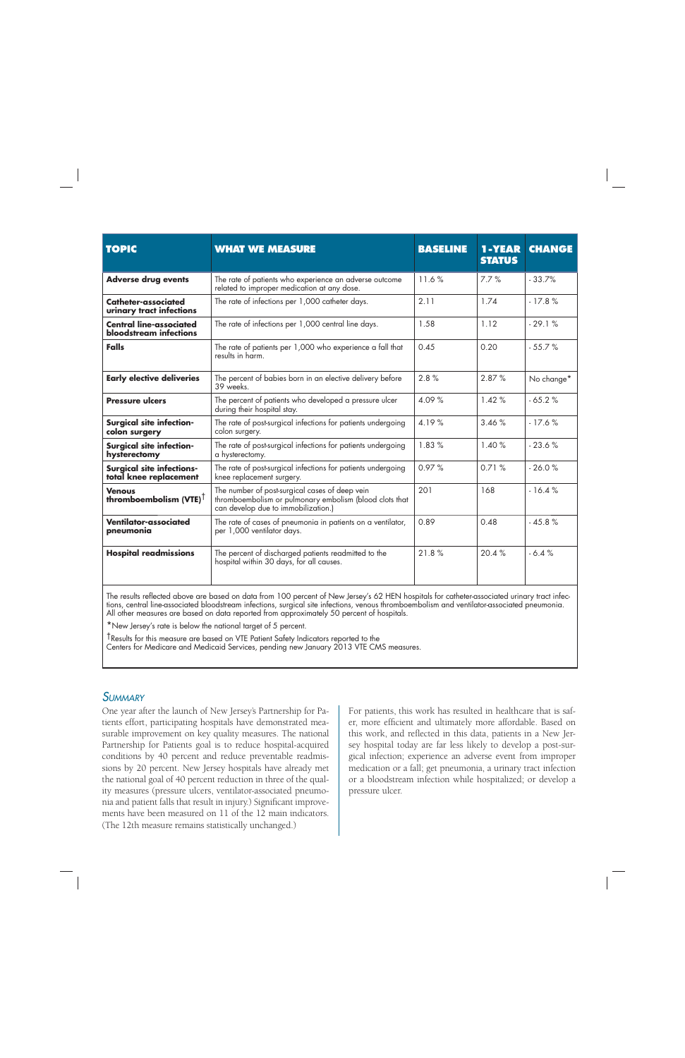| <b>TOPIC</b>                                                    | <b>WHAT WE MEASURE</b>                                                                                                                           | <b>BASELINE</b> | 1-YEAR<br><b>STATUS</b> | <b>CHANGE</b> |
|-----------------------------------------------------------------|--------------------------------------------------------------------------------------------------------------------------------------------------|-----------------|-------------------------|---------------|
| <b>Adverse drug events</b>                                      | The rate of patients who experience an adverse outcome<br>related to improper medication at any dose.                                            | 11.6%           | 7.7%                    | $-33.7%$      |
| Catheter-associated<br>urinary tract infections                 | The rate of infections per 1,000 catheter days.                                                                                                  | 2.11            | 1.74                    | $-17.8%$      |
| <b>Central line-associated</b><br><b>bloodstream</b> infections | The rate of infections per 1,000 central line days.                                                                                              | 1.58            | 1.12                    | $-29.1%$      |
| <b>Falls</b>                                                    | The rate of patients per 1,000 who experience a fall that<br>results in harm.                                                                    | 0.45            | 0.20                    | $-55.7%$      |
| <b>Early elective deliveries</b>                                | The percent of babies born in an elective delivery before<br>39 weeks                                                                            | 2.8%            | 2.87%                   | No change*    |
| <b>Pressure ulcers</b>                                          | The percent of patients who developed a pressure ulcer<br>during their hospital stay.                                                            | 4.09%           | 1.42%                   | $-65.2%$      |
| <b>Surgical site infection-</b><br>colon surgery                | The rate of post-surgical infections for patients undergoing<br>colon surgery.                                                                   | 4.19%           | 3.46%                   | $-17.6%$      |
| <b>Surgical site infection-</b><br>hysterectomy                 | The rate of post-surgical infections for patients undergoing<br>a hysterectomy.                                                                  | 1.83%           | 1.40%                   | $-23.6%$      |
| <b>Surgical site infections-</b><br>total knee replacement      | The rate of post-surgical infections for patients undergoing<br>knee replacement surgery.                                                        | 0.97%           | 0.71%                   | $-26.0%$      |
| <b>Venous</b><br>thromboembolism (VTE) $^{\dagger}$             | The number of post-surgical cases of deep vein<br>thromboembolism or pulmonary embolism (blood clots that<br>can develop due to immobilization.) | 201             | 168                     | $-16.4%$      |
| Ventilator-associated<br>pneumonia                              | The rate of cases of pneumonia in patients on a ventilator,<br>per 1,000 ventilator days.                                                        | 0.89            | 0.48                    | $-45.8%$      |
| <b>Hospital readmissions</b>                                    | The percent of discharged patients readmitted to the<br>hospital within 30 days, for all causes.                                                 | 21.8%           | 20.4%                   | $-6.4%$       |

The results reflected above are based on data from 100 percent of New Jersey's 62 HEN hospitals for catheter-associated urinary tract infections, central line-associated bloodstream infections, surgical site infections, venous thromboembolism and ventilator-associated pneumonia. All other measures are based on data reported from approximately 50 percent of hospitals.

\*New Jersey's rate is below the national target of 5 percent.

†Results for this measure are based on VTE Patient Safety Indicators reported to the

Centers for Medicare and Medicaid Services, pending new January 2013 VTE CMS measures.

#### *SUMMARY*

One year after the launch of New Jersey's Partnership for Patients effort, participating hospitals have demonstrated measurable improvement on key quality measures. The national Partnership for Patients goal is to reduce hospital-acquired conditions by 40 percent and reduce preventable readmissions by 20 percent. New Jersey hospitals have already met the national goal of 40 percent reduction in three of the quality measures (pressure ulcers, ventilator-associated pneumonia and patient falls that result in injury.) Significant improvements have been measured on 11 of the 12 main indicators. (The 12th measure remains statistically unchanged.)

For patients, this work has resulted in healthcare that is safer, more efficient and ultimately more affordable. Based on this work, and reflected in this data, patients in a New Jersey hospital today are far less likely to develop a post-surgical infection; experience an adverse event from improper medication or a fall; get pneumonia, a urinary tract infection or a bloodstream infection while hospitalized; or develop a pressure ulcer.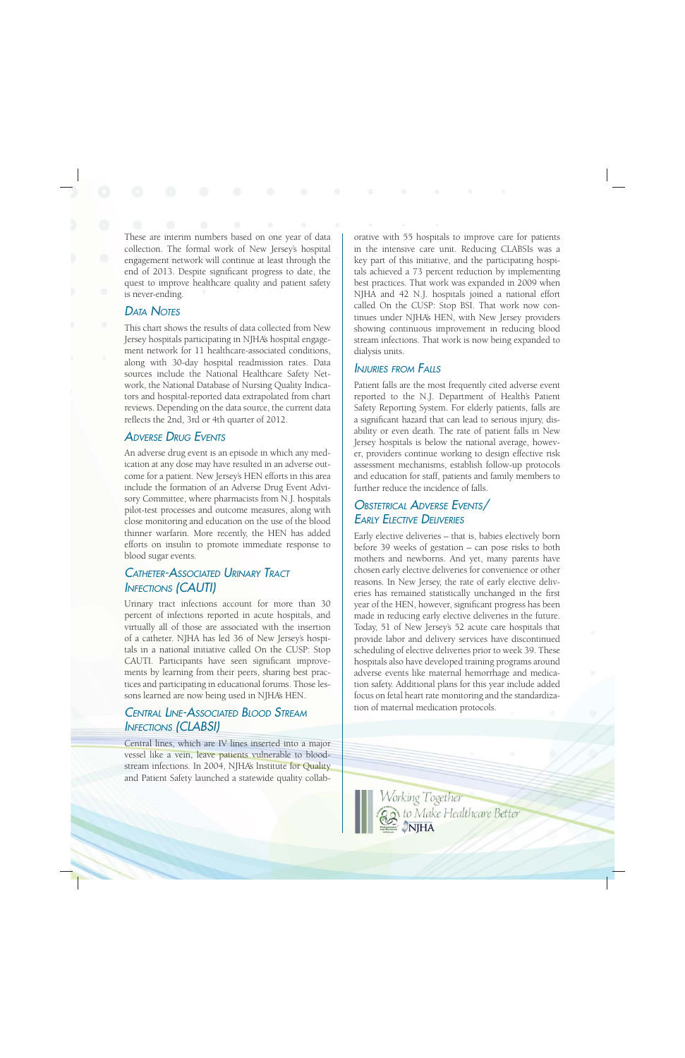These are interim numbers based on one year of data collection. The formal work of New Jersey's hospital engagement network will continue at least through the end of 2013. Despite significant progress to date, the quest to improve healthcare quality and patient safety is never-ending.

# *DATA NOTES*

This chart shows the results of data collected from New Jersey hospitals participating in NJHA's hospital engagement network for 11 healthcare-associated conditions, along with 30-day hospital readmission rates. Data sources include the National Healthcare Safety Network, the National Database of Nursing Quality Indicators and hospital-reported data extrapolated from chart reviews. Depending on the data source, the current data reflects the 2nd, 3rd or 4th quarter of 2012.

## *ADVERSE DRUG EVENTS*

An adverse drug event is an episode in which any medication at any dose may have resulted in an adverse outcome for a patient. New Jersey's HEN efforts in this area include the formation of an Adverse Drug Event Advisory Committee, where pharmacists from N.J. hospitals pilot-test processes and outcome measures, along with close monitoring and education on the use of the blood thinner warfarin. More recently, the HEN has added efforts on insulin to promote immediate response to blood sugar events.

### *CATHETER-ASSOCIATED URINARY TRACT INFECTIONS (CAUTI)*

Urinary tract infections account for more than 30 percent of infections reported in acute hospitals, and virtually all of those are associated with the insertion of a catheter. NJHA has led 36 of New Jersey's hospitals in a national initiative called On the CUSP: Stop CAUTI. Participants have seen significant improvements by learning from their peers, sharing best practices and participating in educational forums. Those lessons learned are now being used in NJHA's HEN.

# *CENTRAL LINE-ASSOCIATED BLOOD STREAM INFECTIONS (CLABSI)*

Central lines, which are IV lines inserted into a major vessel like a vein, leave patients vulnerable to bloodstream infections. In 2004, NJHA's Institute for Quality and Patient Safety launched a statewide quality collab-

orative with 55 hospitals to improve care for patients in the intensive care unit. Reducing CLABSIs was a key part of this initiative, and the participating hospitals achieved a 73 percent reduction by implementing best practices. That work was expanded in 2009 when NJHA and 42 N.J. hospitals joined a national effort called On the CUSP: Stop BSI. That work now continues under NJHA's HEN, with New Jersey providers showing continuous improvement in reducing blood stream infections. That work is now being expanded to dialysis units.

#### *INJURIES FROM FALLS*

Patient falls are the most frequently cited adverse event reported to the N.J. Department of Health's Patient Safety Reporting System. For elderly patients, falls are a significant hazard that can lead to serious injury, disability or even death. The rate of patient falls in New Jersey hospitals is below the national average, however, providers continue working to design effective risk assessment mechanisms, establish follow-up protocols and education for staff, patients and family members to further reduce the incidence of falls.

# *OBSTETRICAL ADVERSE EVENTS/ EARLY ELECTIVE DELIVERIES*

Early elective deliveries – that is, babies electively born before 39 weeks of gestation – can pose risks to both mothers and newborns. And yet, many parents have chosen early elective deliveries for convenience or other reasons. In New Jersey, the rate of early elective deliveries has remained statistically unchanged in the first year of the HEN, however, significant progress has been made in reducing early elective deliveries in the future. Today, 51 of New Jersey's 52 acute care hospitals that provide labor and delivery services have discontinued scheduling of elective deliveries prior to week 39. These hospitals also have developed training programs around adverse events like maternal hemorrhage and medication safety. Additional plans for this year include added focus on fetal heart rate monitoring and the standardization of maternal medication protocols.

Working Together to Make Healthcare Better